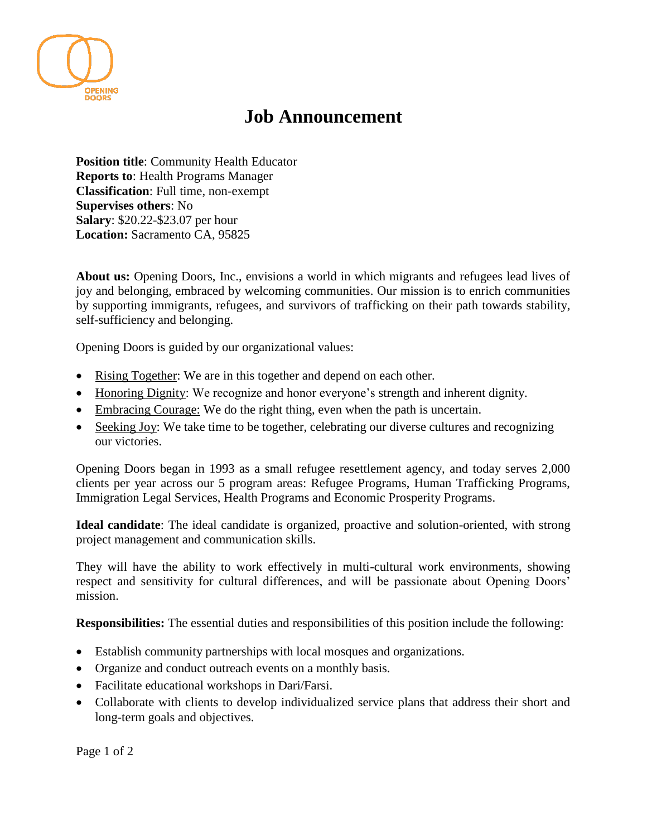

## **Job Announcement**

**Position title**: Community Health Educator **Reports to**: Health Programs Manager **Classification**: Full time, non-exempt **Supervises others**: No **Salary**: \$20.22-\$23.07 per hour **Location:** Sacramento CA, 95825

**About us:** Opening Doors, Inc., envisions a world in which migrants and refugees lead lives of joy and belonging, embraced by welcoming communities. Our mission is to enrich communities by supporting immigrants, refugees, and survivors of trafficking on their path towards stability, self-sufficiency and belonging.

Opening Doors is guided by our organizational values:

- Rising Together: We are in this together and depend on each other.
- Honoring Dignity: We recognize and honor everyone's strength and inherent dignity.
- Embracing Courage: We do the right thing, even when the path is uncertain.
- Seeking Joy: We take time to be together, celebrating our diverse cultures and recognizing our victories.

Opening Doors began in 1993 as a small refugee resettlement agency, and today serves 2,000 clients per year across our 5 program areas: Refugee Programs, Human Trafficking Programs, Immigration Legal Services, Health Programs and Economic Prosperity Programs.

**Ideal candidate**: The ideal candidate is organized, proactive and solution-oriented, with strong project management and communication skills.

They will have the ability to work effectively in multi-cultural work environments, showing respect and sensitivity for cultural differences, and will be passionate about Opening Doors' mission.

**Responsibilities:** The essential duties and responsibilities of this position include the following:

- Establish community partnerships with local mosques and organizations.
- Organize and conduct outreach events on a monthly basis.
- Facilitate educational workshops in Dari/Farsi.
- Collaborate with clients to develop individualized service plans that address their short and long-term goals and objectives.

Page 1 of 2